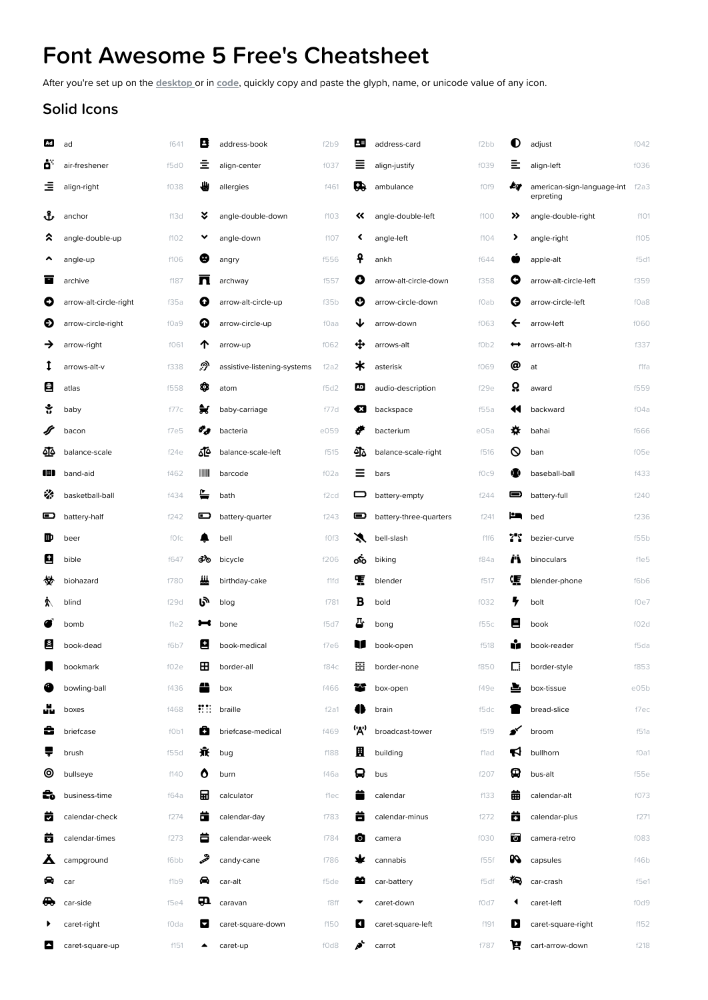## Font Awesome 5 Free's Cheatsheet

After you're set up on the [desktop](https://fontawesome.com/docs/desktop/setup/get-started) or in [code](https://fontawesome.com/start), quickly copy and paste the glyph, name, or unicode value of any icon.

## Solid Icons

| Ad <sub>.</sub> | ad                     | f641 | B            | address-book                | f2b9             | 23             | address-card           | f <sub>2</sub> bb | O  | adjust                                  | f042 |
|-----------------|------------------------|------|--------------|-----------------------------|------------------|----------------|------------------------|-------------------|----|-----------------------------------------|------|
| ö               | air-freshener          | f5d0 | 호            | align-center                | f037             | ≣              | align-justify          | f039              | ≣  | align-left                              | f036 |
| Ξ               | align-right            | f038 | ₩            | allergies                   | f461             | G)             | ambulance              | f0f9              | Æд | american-sign-language-int<br>erpreting | f2a3 |
| ᢞ               | anchor                 | f13d | ¥            | angle-double-down           | f103             | «              | angle-double-left      | f100              | »  | angle-double-right                      | f101 |
| ຂ               | angle-double-up        | f102 | v            | angle-down                  | f107             | ≺              | angle-left             | f104              | ▸  | angle-right                             | f105 |
| ^               | angle-up               | f106 | ₩            | angry                       | f556             | ₽              | ankh                   | f644              |    | apple-alt                               | f5d1 |
| Ē               | archive                | f187 | Л            | archway                     | f557             | O              | arrow-alt-circle-down  | f358              | O  | arrow-alt-circle-left                   | f359 |
| O               | arrow-alt-circle-right | f35a | O            | arrow-alt-circle-up         | f35b             | Ø              | arrow-circle-down      | fOab              | Θ  | arrow-circle-left                       | f0a8 |
| €               | arrow-circle-right     | f0a9 | ➊            | arrow-circle-up             | fOaa             | ↓              | arrow-down             | f063              | ←  | arrow-left                              | f060 |
| →               | arrow-right            | f061 | ጥ            | arrow-up                    | f062             | ⊕              | arrows-alt             | f0b2              | ↔  | arrows-alt-h                            | f337 |
| Ι               | arrows-alt-v           | f338 | ி            | assistive-listening-systems | f2a2             | ∗              | asterisk               | f069              | @  | at                                      | f1fa |
| $\bigoplus$     | atlas                  | f558 | ✿            | atom                        | f5d2             | <b>AD</b>      | audio-description      | f29e              | ρ  | award                                   | f559 |
| ÷               | baby                   | f77c | ₩            | baby-carriage               | f77d             | €3             | backspace              | f55a              | ধ  | backward                                | fO4a |
|                 | bacon                  | f7e5 | o y          | bacteria                    | e059             | F              | bacterium              | e05a              | ₩  | bahai                                   | f666 |
| 亟               | balance-scale          | f24e | ₫ბ           | balance-scale-left          | f515             | ঐ⊻             | balance-scale-right    | f516              | ଷ  | ban                                     | f05e |
| ŒD              | band-aid               | f462 | Ш            | barcode                     | fO2a             | ≡              | bars                   | f0c9              | œ  | baseball-ball                           | f433 |
| ₩               | basketball-ball        | f434 | ≞            | bath                        | f <sub>2cd</sub> | ᆷ              | battery-empty          | f244              | ▬  | battery-full                            | f240 |
| o               | battery-half           | f242 | ▣            | battery-quarter             | f243             | ▣              | battery-three-quarters | f241              | £۹ | bed                                     | f236 |
| ₪               | beer                   | fOfc |              | bell                        | f0f3             | X              | bell-slash             | f1f6              | 77 | bezier-curve                            | f55b |
| 9               | bible                  | f647 | ൴            | bicycle                     | f206             | ൟഀ             | biking                 | f84a              | r  | binoculars                              | fle5 |
| 赞               | biohazard              | f780 | Щ            | birthday-cake               | f1fd             | Ŧ              | blender                | f517              | 嗄  | blender-phone                           | f6b6 |
| K               | blind                  | f29d | ふ            | blog                        | f781             | B              | bold                   | f032              | 7  | bolt                                    | f0e7 |
|                 | bomb                   | f1e2 | ∺            | bone                        | f5d7             | 과              | bong                   | f55c              | 目  | book                                    | f02d |
| ∛               | book-dead              | f6b7 | н            | book-medical                | f7e6             | $\blacksquare$ | book-open              | f518              |    | book-reader                             | f5da |
|                 | bookmark               | f02e | $\mathbf{H}$ | border-all                  | f84c             | ₩              | border-none            | f850              |    | $\Box$ border-style                     | f853 |
|                 | bowling-ball           | f436 |              | box                         | f466             | $\sim$         | box-open               | f49e              | 스  | box-tissue                              | e05b |
| úμ              | boxes                  | f468 | 55551        | braille                     | f2a1             |                | brain                  | f5dc              |    | bread-slice                             | f7ec |
| c               | briefcase              | f0b1 | o            | briefcase-medical           | f469             | ('A')          | broadcast-tower        | f519              | ∙′ | broom                                   | f51a |
| ₩               | brush                  | f55d | 賽            | bug                         | f188             | 鬨              | building               | f1ad              | К  | bullhorn                                | f0a1 |
| ⊚               | bullseye               | f140 | O            | burn                        | f46a             | 9              | bus                    | f207              | Φ  | bus-alt                                 | f55e |
| E٥              | business-time          | f64a | 닒            | calculator                  | flec             |                | calendar               | f133              | 龠  | calendar-alt                            | f073 |
| 茵               | calendar-check         | f274 | ō            | calendar-day                | f783             | 吉              | calendar-minus         | f272              | ō  | calendar-plus                           | f271 |
| 茵               | calendar-times         | f273 | 盲            | calendar-week               | f784             | $\circ$        | camera                 | f030              | ा  | camera-retro                            | f083 |
| ┻               | campground             | f6bb | فخما         | candy-cane                  | f786             |                | cannabis               | f55f              | PO | capsules                                | f46b |
| ⇔               | car                    | f1b9 | ⇔            | car-alt                     | f5de             | F٨             | car-battery            | f5df              | *⊜ | car-crash                               | f5e1 |
| ⊕               | car-side               | f5e4 | Ф            | caravan                     | f8ff             |                | caret-down             | f0d7              | ◀  | caret-left                              | f0d9 |
|                 | caret-right            | fOda | ◘            | caret-square-down           | f150             | И              | caret-square-left      | f191              | И  | caret-square-right                      | f152 |
| 8               | caret-square-up        | f151 | ▲            | caret-up                    | f0d8             | p,             | carrot                 | f787              | P  | cart-arrow-down                         | f218 |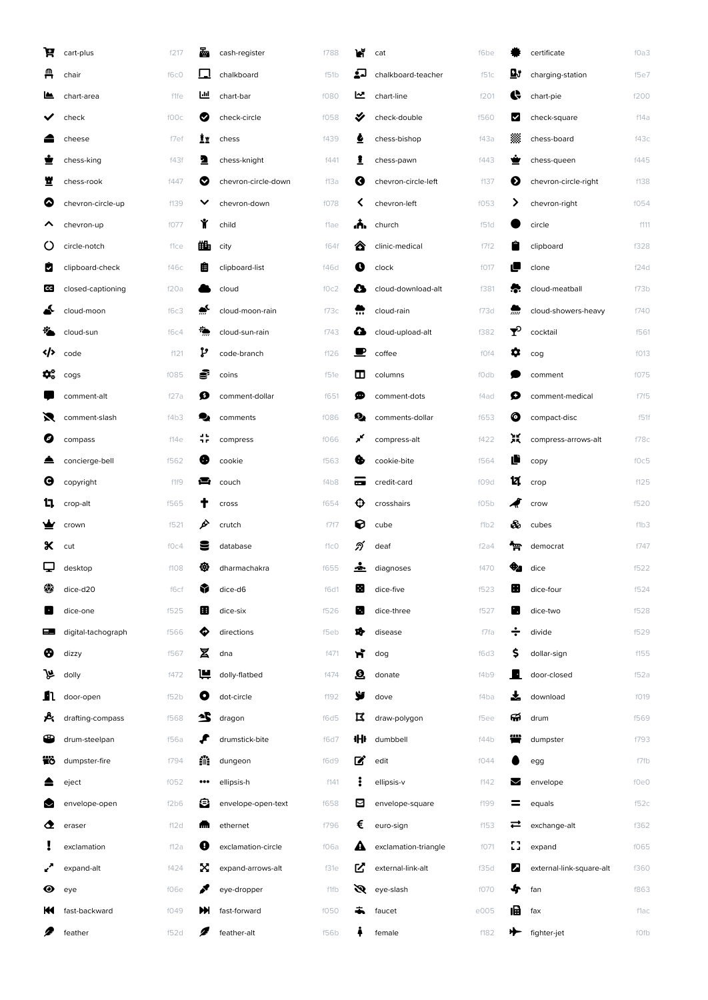| A   | cart-plus          | f217 | 酉                       | cash-register       | f788 | И               | cat                  | f6be |    | certificate              | f0a3 |
|-----|--------------------|------|-------------------------|---------------------|------|-----------------|----------------------|------|----|--------------------------|------|
| д   | chair              | f6c0 | L                       | chalkboard          | f51b | لەغ             | chalkboard-teacher   | f51c | Цÿ | charging-station         | f5e7 |
| ≝   | chart-area         | f1fe | Ш                       | chart-bar           | f080 | 쓰               | chart-line           | f201 | ¢  | chart-pie                | f200 |
|     | check              | f00c | ◙                       | check-circle        | f058 | ✔               | check-double         | f560 | ☑  | check-square             | f14a |
|     | cheese             | f7ef | İr                      | chess               | f439 | ۵               | chess-bishop         | f43a | 爨  | chess-board              | f43c |
|     | chess-king         | f43f | 2                       | chess-knight        | f441 | 1               | chess-pawn           | f443 |    | chess-queen              | f445 |
| 뾰   | chess-rook         | f447 | ల                       | chevron-circle-down | f13a | Ø               | chevron-circle-left  | f137 | ❷  | chevron-circle-right     | f138 |
| ◎   | chevron-circle-up  | f139 |                         | chevron-down        | f078 |                 | chevron-left         | f053 | ⋗  | chevron-right            | f054 |
|     | chevron-up         | f077 | Ý                       | child               | flae | Æ.              | church               | f51d |    | circle                   | f111 |
| Ő   | circle-notch       | flce | 曲                       | city                | f64f | ☎               | clinic-medical       | f7f2 |    | clipboard                | f328 |
| ø   | clipboard-check    | f46c | 眉                       | clipboard-list      | f46d | O               | clock                | f017 | ı  | clone                    | f24d |
| lcg | closed-captioning  | f20a |                         | cloud               | f0c2 | a               | cloud-download-alt   | f381 |    | cloud-meatball           | f73b |
|     | cloud-moon         | f6c3 | ▵                       | cloud-moon-rain     | f73c |                 | cloud-rain           | f73d |    | cloud-showers-heavy      | f740 |
|     | cloud-sun          | f6c4 | ₹Ò                      | cloud-sun-rain      | f743 | л               | cloud-upload-alt     | f382 | ❤  | cocktail                 | f561 |
|     | code               | f121 | ņ                       | code-branch         | f126 | ◾               | coffee               | fOf4 | ۰  | cog                      | f013 |
| ¢.  | cogs               | f085 | s                       | coins               | f51e | ш               | columns              | fOdb |    | comment                  | f075 |
|     | comment-alt        | f27a | ø                       | comment-dollar      | f651 | Φ               | comment-dots         | f4ad | O  | comment-medical          | f7f5 |
| 罓   | comment-slash      | f4b3 |                         | comments            | f086 | ø,              | comments-dollar      | f653 | O  | compact-disc             | f51f |
| ◙   | compass            | f14e | 非                       | compress            | f066 | ×               | compress-alt         | f422 | 瞏  | compress-arrows-alt      | f78c |
|     | concierge-bell     | f562 | Œ                       | cookie              | f563 |                 | cookie-bite          | f564 |    | copy                     | f0c5 |
| Θ   | copyright          | f1f9 | e                       | couch               | f4b8 | <b>CONTRACT</b> | credit-card          | f09d | и  | crop                     | f125 |
| u.  | crop-alt           | f565 |                         | cross               | f654 | ⊕               | crosshairs           | f05b |    | crow                     | f520 |
|     | crown              | f521 | ò                       | crutch              | f7f7 | 0               | cube                 | f1b2 | æ8 | cubes                    | f1b3 |
| х   | cut                | fOc4 |                         | database            | f1c0 | ภ               | deaf                 | f2a4 | ፹  | democrat                 | f747 |
| با  | desktop            | f108 | ₩                       | dharmachakra        | f655 | ÷.              | diagnoses            | f470 | ₩  | dice                     | f522 |
| 硷   | dice-d20           | f6cf | Y                       | dice-d6             | f6d1 | 圈               | dice-five            | f523 | ⊞  | dice-four                | f524 |
| Œ   | dice-one           | f525 | 圉                       | dice-six            | f526 | в.              | dice-three           | f527 |    | dice-two                 | f528 |
| ▄▉  | digital-tachograph | f566 | ♦                       | directions          | f5eb | 19              | disease              | f7fa | ÷  | divide                   | f529 |
| ❸   | dizzy              | f567 | Σ                       | dna                 | f471 | ħ               | dog                  | f6d3 | Ş  | dollar-sign              | f155 |
| ⊮   | dolly              | f472 | ш                       | dolly-flatbed       | f474 | $\mathbf{Q}$    | donate               | f4b9 | в  | door-closed              | f52a |
| n   | door-open          | f52b | O                       | dot-circle          | f192 | y               | dove                 | f4ba |    | download                 | f019 |
| 癶   | drafting-compass   | f568 | 竺                       | dragon              | f6d5 | R               | draw-polygon         | f5ee | ଳ  | drum                     | f569 |
| œ   | drum-steelpan      | f56a |                         | drumstick-bite      | f6d7 | ₩               | dumbbell             | f44b |    | dumpster                 | f793 |
| Έò  | dumpster-fire      | f794 | 鑰                       | dungeon             | f6d9 | ■               | edit                 | f044 |    | egg                      | f7fb |
|     | eject              | f052 | $\bullet\bullet\bullet$ | ellipsis-h          | f141 | ÷               | ellipsis-v           | f142 | M  | envelope                 | f0e0 |
| M   | envelope-open      | f2b6 | Θ                       | envelope-open-text  | f658 | ⊠               | envelope-square      | f199 | =  | equals                   | f52c |
| ◔   | eraser             | f12d | m.                      | ethernet            | f796 | €               | euro-sign            | f153 | ᆮ  | exchange-alt             | f362 |
|     | exclamation        | f12a | Ø                       | exclamation-circle  | f06a | A               | exclamation-triangle | f071 | 83 | expand                   | f065 |
|     | expand-alt         | f424 | X                       | expand-arrows-alt   | f31e | ビ               | external-link-alt    | f35d | И  | external-link-square-alt | f360 |
| ◉   | eye                | f06e | F                       | eye-dropper         | f1fb | Ø               | eye-slash            | f070 | ♣  | fan                      | f863 |
| к   | fast-backward      | f049 | M                       | fast-forward        | f050 |                 | faucet               | e005 | 圃  | fax                      | f1ac |
| P   | feather            | f52d | 2                       | feather-alt         | f56b |                 | female               | f182 | ⊁  | fighter-jet              | fOfb |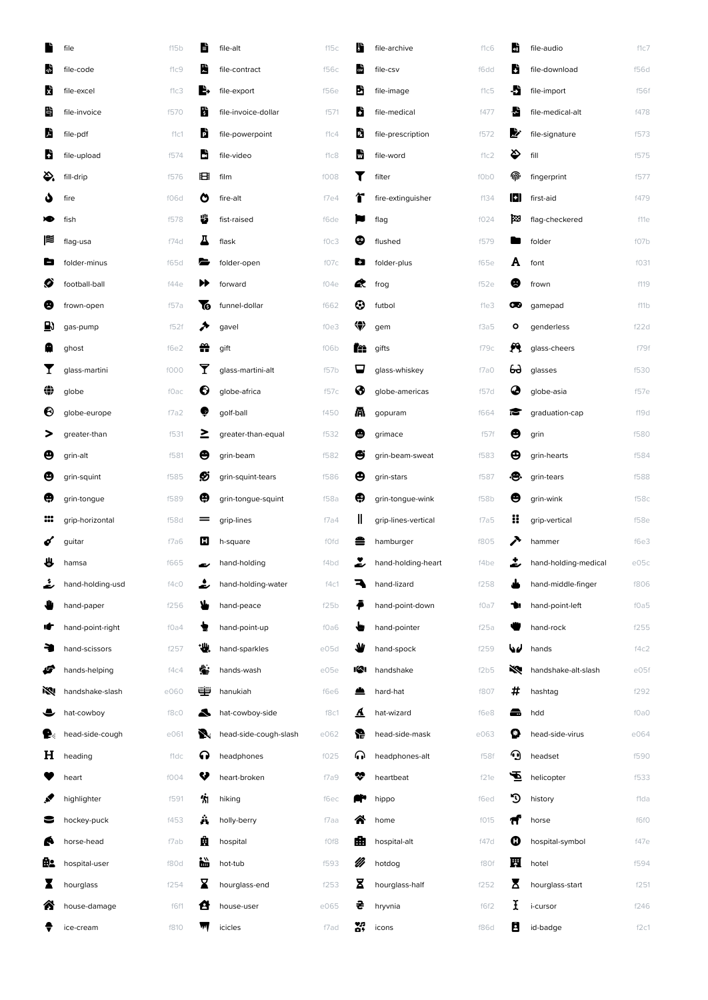|     | file             | f15b | È                                                                                                                                                                                                                                | file-alt              | f15c | Ш    | file-archive        | f1c6 | ш   | file-audio           | f1c7        |
|-----|------------------|------|----------------------------------------------------------------------------------------------------------------------------------------------------------------------------------------------------------------------------------|-----------------------|------|------|---------------------|------|-----|----------------------|-------------|
| sh. | file-code        | f1c9 | Ы                                                                                                                                                                                                                                | file-contract         | f56c | csv  | file-csv            | f6dd | u   | file-download        | <b>f56d</b> |
| Ŋ   | file-excel       | f1c3 | ь                                                                                                                                                                                                                                | file-export           | f56e | 勖    | file-image          | f1c5 | Đ   | file-import          | f56f        |
| ë   | file-invoice     | f570 | Ы                                                                                                                                                                                                                                | file-invoice-dollar   | f571 | D    | file-medical        | f477 | м   | file-medical-alt     | f478        |
| Ŋ   | file-pdf         | f1c1 | D                                                                                                                                                                                                                                | file-powerpoint       | f1c4 | D    | file-prescription   | f572 | "   | file-signature       | f573        |
| b   | file-upload      | f574 | فا                                                                                                                                                                                                                               | file-video            | f1c8 | W    | file-word           | f1c2 | �   | fill                 | f575        |
| Ö.  | fill-drip        | f576 | 田                                                                                                                                                                                                                                | film                  | f008 | T    | filter              | f0b0 | ⋒   | fingerprint          | f577        |
| ه   | fire             | f06d | O                                                                                                                                                                                                                                | fire-alt              | f7e4 | Т    | fire-extinguisher   | f134 | 191 | first-aid            | f479        |
| ×   | fish             | f578 | ₩                                                                                                                                                                                                                                | fist-raised           | f6de | Į    | flag                | f024 | м   | flag-checkered       | f11e        |
| 燡   | flag-usa         | f74d | д                                                                                                                                                                                                                                | flask                 | f0c3 | ∞    | flushed             | f579 |     | folder               | f07b        |
| ه   | folder-minus     | f65d | a and de la propie de la propie de la propie de la propie de la propie de la propie de la propie de la propie d<br>De la propie de la propie de la propie de la propie de la propie de la propie de la propie de la propie de la | folder-open           | f07c | Ð    | folder-plus         | f65e | A   | font                 | f031        |
| Ø   | football-ball    | f44e | ▶▶                                                                                                                                                                                                                               | forward               | f04e | œ    | frog                | f52e | 8   | frown                | f119        |
| ❸   | frown-open       | f57a | ٦o                                                                                                                                                                                                                               | funnel-dollar         | f662 | ☺    | futbol              | f1e3 | ∞   | qamepad              | f11b        |
| ₿   | gas-pump         | f52f | ↗                                                                                                                                                                                                                                | gavel                 | f0e3 | ₩    | gem                 | f3a5 | ۰   | genderless           | f22d        |
| Q   | ghost            | f6e2 | 쏦                                                                                                                                                                                                                                | gift                  | f06b | fee. | gifts               | 179с | A   | glass-cheers         | f79f        |
| I   | glass-martini    | f000 | Y                                                                                                                                                                                                                                | glass-martini-alt     | f57b | ᄆ    | glass-whiskey       | f7a0 | ക   | glasses              | f530        |
| ⇔   | globe            | fOac | €                                                                                                                                                                                                                                | globe-africa          | f57c | ❸    | globe-americas      | f57d | ◕   | globe-asia           | f57e        |
| ❸   | globe-europe     | f7a2 | ø                                                                                                                                                                                                                                | golf-ball             | f450 | Æ.   | gopuram             | f664 | М   | graduation-cap       | f19d        |
| >   | greater-than     | f531 | ≥                                                                                                                                                                                                                                | greater-than-equal    | f532 | ❸    | grimace             | f57f | Ѳ   | grin                 | f580        |
| ϴ   | grin-alt         | f581 | ⊖                                                                                                                                                                                                                                | grin-beam             | f582 | ₩    | grin-beam-sweat     | f583 | ⊕   | grin-hearts          | f584        |
| ❸   | grin-squint      | f585 | Ø                                                                                                                                                                                                                                | grin-squint-tears     | f586 | ⊕    | grin-stars          | f587 | æ.  | grin-tears           | f588        |
| Ф   | grin-tongue      | f589 | Θ                                                                                                                                                                                                                                | grin-tongue-squint    | f58a | Θ    | grin-tongue-wink    | f58b | Θ   | grin-wink            | f58c        |
| ₩   | grip-horizontal  | f58d | =                                                                                                                                                                                                                                | grip-lines            | f7a4 | Ш    | grip-lines-vertical | f7a5 | x   | grip-vertical        | f58e        |
| ó   | guitar           | f7a6 | О                                                                                                                                                                                                                                | h-square              | fOfd |      | hamburger           | f805 | ↗   | hammer               | f6e3        |
| ₩   | hamsa            | f665 |                                                                                                                                                                                                                                  | hand-holding          | f4bd |      | hand-holding-heart  | f4be |     | hand-holding-medical | e05c        |
|     | hand-holding-usd | f4c0 |                                                                                                                                                                                                                                  | hand-holding-water    | f4c1 | ₹    | hand-lizard         | f258 |     | hand-middle-finger   | f806        |
|     | hand-paper       | f256 | У                                                                                                                                                                                                                                | hand-peace            | f25b |      | hand-point-down     | f0a7 |     | hand-point-left      | f0a5        |
| ıF  | hand-point-right | f0a4 |                                                                                                                                                                                                                                  | hand-point-up         | f0a6 | ٠m   | hand-pointer        | f25a |     | hand-rock            | f255        |
|     | hand-scissors    | f257 | ₩                                                                                                                                                                                                                                | hand-sparkles         | e05d |      | hand-spock          | f259 | سما | hands                | f4c2        |
| F   | hands-helping    | f4c4 | ⊯                                                                                                                                                                                                                                | hands-wash            | e05e | 191  | handshake           | f2b5 | ⇖   | handshake-alt-slash  | e05f        |
| K.  | handshake-slash  | e060 | نتنت                                                                                                                                                                                                                             | hanukiah              | f6e6 |      | hard-hat            | f807 | #   | hashtag              | f292        |
| ◒   | hat-cowboy       | f8c0 | А                                                                                                                                                                                                                                | hat-cowboy-side       | f8c1 | ⚠    | hat-wizard          | f6e8 | ▄   | hdd                  | f0a0        |
| Ð.  | head-side-cough  | e061 | N.                                                                                                                                                                                                                               | head-side-cough-slash | e062 | æ    | head-side-mask      | e063 | О   | head-side-virus      | e064        |
| н   | heading          | f1dc | ଋ                                                                                                                                                                                                                                | headphones            | f025 | ∩    | headphones-alt      | f58f | ⊙   | headset              | f590        |
|     | heart            | f004 | V                                                                                                                                                                                                                                | heart-broken          | f7a9 | ❤    | heartbeat           | f21e | Ð   | helicopter           | f533        |
| ø   | highlighter      | f591 | 俰                                                                                                                                                                                                                                | hiking                | f6ec |      | hippo               | f6ed | ৩   | history              | f1da        |
| 5   | hockey-puck      | f453 | Â                                                                                                                                                                                                                                | holly-berry           | f7aa | ☎    | home                | f015 | Ħ   | horse                | f6f0        |
| e   | horse-head       | f7ab | 的                                                                                                                                                                                                                                | hospital              | f0f8 | 曲    | hospital-alt        | f47d | o   | hospital-symbol      | f47e        |
| ₿.  | hospital-user    | f80d | 谥                                                                                                                                                                                                                                | hot-tub               | f593 | B    | hotdog              | f80f | 囲   | hotel                | f594        |
|     | hourglass        | f254 | x                                                                                                                                                                                                                                | hourglass-end         | f253 | Σ    | hourglass-half      | f252 | Χ   | hourglass-start      | f251        |
| ☎   | house-damage     | f6f1 |                                                                                                                                                                                                                                  | house-user            | e065 | 은    | hryvnia             | f6f2 | Ι   | i-cursor             | f246        |
|     | ice-cream        | f810 |                                                                                                                                                                                                                                  | icicles               | f7ad | ХŖ,  | icons               | f86d | 8   | id-badge             | f2c1        |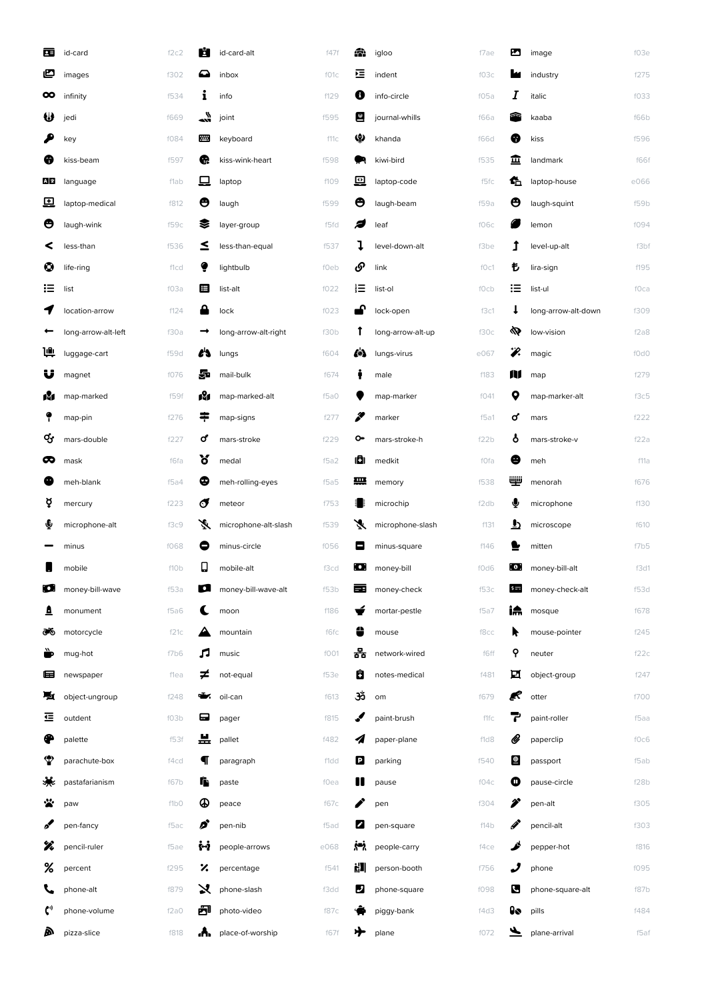| 西              | id-card             | f2c2 | Е             | id-card-alt          | f47f | æ   | igloo             | f7ae        | ▨                 | image                   | f03e |
|----------------|---------------------|------|---------------|----------------------|------|-----|-------------------|-------------|-------------------|-------------------------|------|
| ළ              | images              | f302 | ◒             | inbox                | f01c | 弖   | indent            | f03c        |                   | industry                | f275 |
| ထ              | infinity            | f534 | i             | info                 | f129 | O   | info-circle       | f05a        | Ι                 | italic                  | f033 |
| ₩              | jedi                | f669 | $\frac{1}{2}$ | joint                | f595 | 世   | journal-whills    | f66a        |                   | kaaba                   | f66b |
|                | key                 | f084 | ▦             | keyboard             | f11c | ഴ   | khanda            | <b>f66d</b> | ❸                 | kiss                    | f596 |
| ❸              | kiss-beam           | f597 | Q             | kiss-wink-heart      | f598 |     | kiwi-bird         | f535        | 覀                 | landmark                | f66f |
| A 文            | language            | flab | 므             | laptop               | f109 | 粵   | laptop-code       | f5fc        | £                 | laptop-house            | e066 |
| 므              | laptop-medical      | f812 | Θ             | laugh                | f599 | ◓   | laugh-beam        | f59a        | ❸                 | laugh-squint            | f59b |
| Ѳ              | laugh-wink          | f59c | ≋             | layer-group          | f5fd | Ð   | leaf              | f06c        |                   | lemon                   | f094 |
| ≺              | less-than           | f536 | $\leq$        | less-than-equal      | f537 | ı   | level-down-alt    | f3be        | î                 | level-up-alt            | f3bf |
| ◎              | life-ring           | f1cd | ◕             | lightbulb            | f0eb | ঔ   | link              | f0c1        | ŧ                 | lira-sign               | f195 |
| ≔              | list                | f03a | 目             | list-alt             | f022 | 這   | list-ol           | f0cb        | 這                 | list-ul                 | fOca |
| 7              | location-arrow      | f124 | A             | lock                 | f023 | 普   | lock-open         | f3c1        | t                 | long-arrow-alt-down     | f309 |
|                | long-arrow-alt-left | f30a |               | long-arrow-alt-right | f30b | Ť   | long-arrow-alt-up | f30c        |                   | low-vision              | f2a8 |
| 帅              | luggage-cart        | f59d | e's           | lungs                | f604 | 4A  | lungs-virus       | e067        | Ÿ.                | magic                   | f0d0 |
| U              | magnet              | f076 | 昴             | mail-bulk            | f674 |     | male              | f183        | M                 | map                     | f279 |
| M              | map-marked          | f59f | N             | map-marked-alt       | f5a0 |     | map-marker        | f041        | 9                 | map-marker-alt          | f3c5 |
|                | map-pin             | f276 | ≑             | map-signs            | f277 | I   | marker            | f5a1        | σ                 | mars                    | f222 |
| ಳ              | mars-double         | f227 | σ             | mars-stroke          | f229 | o۰  | mars-stroke-h     | f22b        | å                 | mars-stroke-v           | f22a |
| ∞              | mask                | f6fa | ัช            | medal                | f5a2 | ı٨  | medkit            | fOfa        | ❷                 | meh                     | f11a |
| ●              | meh-blank           | f5a4 | ❹             | meh-rolling-eyes     | f5a5 | ₩   | memory            | f538        | ψÿ                | menorah                 | f676 |
| ¥              | mercury             | f223 | đ             | meteor               | f753 | ä.  | microchip         | f2db        | ♥                 | microphone              | f130 |
| ∳              | microphone-alt      | f3c9 | Ã             | microphone-alt-slash | f539 | Ã   | microphone-slash  | f131        | ౨                 | microscope              | f610 |
|                | minus               | f068 | 0             | minus-circle         | f056 | е   | minus-square      | f146        |                   | mitten                  | f7b5 |
|                | mobile              | f10b | О             | mobile-alt           | f3cd | О   | money-bill        | f0d6        |                   | <b>a</b> money-bill-alt | f3d1 |
| О              | money-bill-wave     | f53a | О             | money-bill-wave-alt  | f53b | æ   | money-check       | f53c        | $s =$             | money-check-alt         | f53d |
| ≞              | monument            | f5a6 | L             | moon                 | f186 |     | mortar-pestle     | $f$ 5a7     | iA                | mosque                  | f678 |
| ൟ              | motorcycle          | f21c |               | mountain             | f6fc | ₩   | mouse             | f8cc        | R                 | mouse-pointer           | f245 |
| $\blacksquare$ | mug-hot             | f7b6 | л             | music                | f001 | 몲   | network-wired     | f6ff        | የ                 | neuter                  | f22c |
| 鱼              | newspaper           | flea | ≠             | not-equal            | f53e | Ô   | notes-medical     | f481        | 囸                 | object-group            | f247 |
| ы              | object-ungroup      | f248 | – ≍           | oil-can              | f613 | ૐ   | om                | f679        | R                 | otter                   | f700 |
| 르              | outdent             | f03b | ⊟             | pager                | f815 | ℐ   | paint-brush       | f1fc        | 7                 | paint-roller            | f5aa |
| ⊕              | palette             | f53f | 프             | pallet               | f482 | 4   | paper-plane       | f1d8        | U                 | paperclip               | f0c6 |
| 4              | parachute-box       | f4cd | Ч             | paragraph            | f1dd | e   | parking           | f540        | $\mathbf{\Theta}$ | passport                | f5ab |
| 谦              | pastafarianism      | f67b | i.            | paste                | f0ea | Ш   | pause             | f04c        | Ф                 | pause-circle            | f28b |
| ₩              | paw                 | f1b0 | ⊕             | peace                | f67c | Î   | pen               | f304        | Ï                 | pen-alt                 | f305 |
| ø              | pen-fancy           | f5ac | Ø             | pen-nib              | f5ad | Z   | pen-square        | f14b        | P                 | pencil-alt              | f303 |
| X              | pencil-ruler        | f5ae | ήЙ            | people-arrows        | e068 | پنج | people-carry      | f4ce        | ê                 | pepper-hot              | f816 |
| %              | percent             | f295 | %             | percentage           | f541 | 淵   | person-booth      | f756        | ر                 | phone                   | f095 |
| L,             | phone-alt           | f879 | X             | phone-slash          | f3dd | ø   | phone-square      | f098        | Ø                 | phone-square-alt        | f87b |
| $\mathbf{C}^v$ | phone-volume        | f2a0 | ð             | photo-video          | f87c |     | piggy-bank        | f4d3        | lo                | pills                   | f484 |
| A              | pizza-slice         | f818 | ۸.            | place-of-worship     | f67f | ⊁   | plane             | f072        | v                 | plane-arrival           | f5af |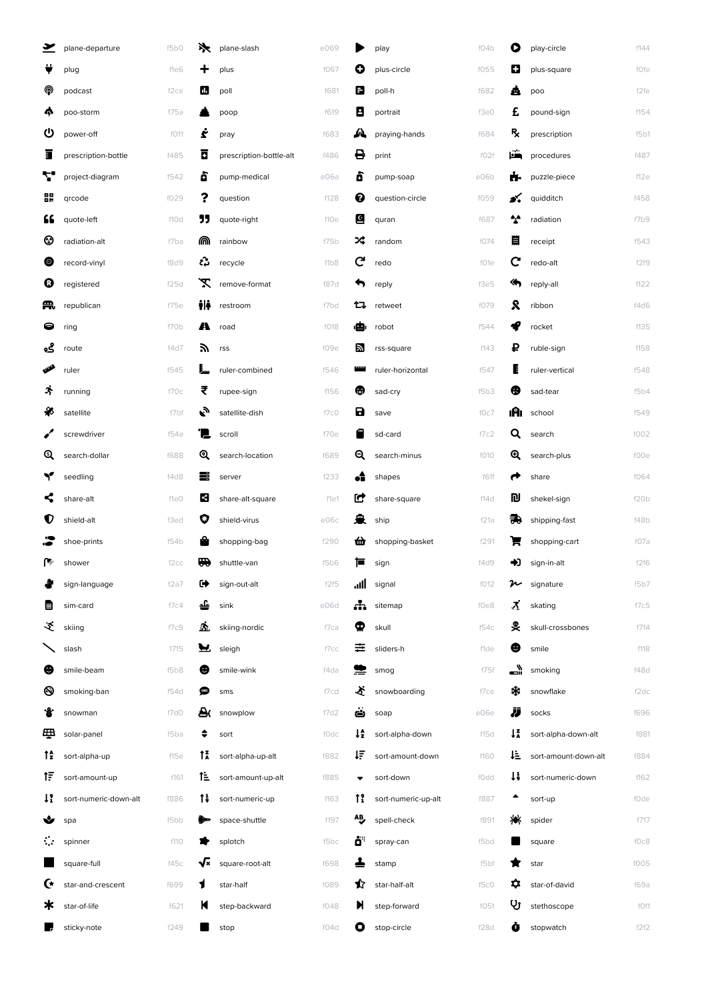| ≚     | plane-departure       | f5b0             | ⋟   | plane-slash             | e069 |                | play                | fO4b | $\bullet$      | play-circle          | f144 |
|-------|-----------------------|------------------|-----|-------------------------|------|----------------|---------------------|------|----------------|----------------------|------|
|       | plug                  | fle6             | ┿   | plus                    | f067 | O              | plus-circle         | f055 | O              | plus-square          | fOfe |
| ⋒     | podcast               | f <sub>2ce</sub> | Ш   | poll                    | f681 | 8              | poll-h              | f682 | â              | poo                  | f2fe |
| Ą,    | poo-storm             | f75a             |     | poop                    | f619 | В              | portrait            | f3e0 | £              | pound-sign           | f154 |
| ပ     | power-off             | f011             | ċ   | pray                    | f683 | 7T             | praying-hands       | f684 | R,             | prescription         | f5b1 |
| ī     | prescription-bottle   | f485             | Π   | prescription-bottle-alt | f486 | 8              | print               | f02f | ЕĚ             | procedures           | f487 |
| ₹.    | project-diagram       | f542             | ô   | pump-medical            | e06a | ò              | pump-soap           | e06b | ń.             | puzzle-piece         | f12e |
| 鸓     | qrcode                | f029             | ?   | question                | f128 | ❷              | question-circle     | f059 | s.             | quidditch            | f458 |
| "     | quote-left            | f10d             | "   | quote-right             | f10e | G              | quran               | f687 | $\cdot$        | radiation            | f7b9 |
| ☺     | radiation-alt         | f7ba             | ⋒   | rainbow                 | f75b | ⋊              | random              | f074 | 目              | receipt              | f543 |
| ◉     | record-vinyl          | f8d9             | ŵ   | recycle                 | f1b8 | G              | redo                | f01e | C              | redo-alt             | f2f9 |
| 0     | registered            | f25d             | X   | remove-format           | f87d |                | reply               | f3e5 | ⋘              | reply-all            | f122 |
| Æ,    | republican            | f75e             | ili | restroom                | f7bd | ロ              | retweet             | f079 | R              | ribbon               | f4d6 |
| 0     | ring                  | f70b             | A   | road                    | f018 | روي.           | robot               | f544 |                | rocket               | f135 |
| ڲۄ    | route                 | f4d7             | Эń  | rss                     | f09e | Ы              | rss-square          | f143 | ₽              | ruble-sign           | f158 |
| فللله | ruler                 | f545             | I., | ruler-combined          | f546 | بسر            | ruler-horizontal    | f547 |                | ruler-vertical       | f548 |
| 夺     | running               | f70c             | ₹   | rupee-sign              | f156 | ⋒              | sad-cry             | f5b3 | ❸              | sad-tear             | f5b4 |
| ₩     | satellite             | f7bf             | پي  | satellite-dish          | f7c0 | В              | save                | f0c7 | ıAı            | school               | f549 |
|       | screwdriver           | f54a             | 'N. | scroll                  | f70e |                | sd-card             | f7c2 | Q              | search               | f002 |
| Q     | search-dollar         | f688             | Q   | search-location         | f689 | Q              | search-minus        | f010 | ⊕              | search-plus          | f00e |
| Y     | seedling              | f4d8             | ≡   | server                  | f233 | ٠Ê             | shapes              | f61f | ←              | share                | f064 |
| <     | share-alt             | f1e0             | В   | share-alt-square        | f1e1 | Ľ              | share-square        | f14d | n)             | shekel-sign          | f20b |
| Ū     | shield-alt            | f3ed             | O   | shield-virus            | e06c | ₽              | ship                | f21a | 說              | shipping-fast        | f48b |
|       | shoe-prints           | f54b             |     | shopping-bag            | f290 | 血              | shopping-basket     | f291 |                | shopping-cart        | fO7a |
| ۴     | shower                | f <sub>2cc</sub> | ₩   | shuttle-van             | f5b6 | ⊫              | sign                | f4d9 | D              | sign-in-alt          | f2f6 |
|       | sign-language         | f2a7             | ☞   | sign-out-alt            | f2f5 | اان.           | signal              | f012 | n              | signature            | f5b7 |
| ⊞     | sim-card              | f7c4             | 숄   | sink                    | e06d | Ж.             | sitemap             | f0e8 | <u>х</u>       | skating              | f7c5 |
| ヹ     | skiing                | f7c9             | ßì. | skiing-nordic           | f7ca | Φ              | skull               | f54c | 旻              | skull-crossbones     | f714 |
|       | slash                 | f715             | У   | sleigh                  | f7cc | 굳              | sliders-h           | f1de | ❸              | smile                | f118 |
| ❸     | smile-beam            | f5b8             | ❸   | smile-wink              | f4da |                | smog                | f75f | ڈ              | smoking              | f48d |
| ❸     | smoking-ban           | f54d             | د™  | sms                     | f7cd | 公              | snowboarding        | f7ce | ∗              | snowflake            | f2dc |
| ₩     | snowman               | f7d0             | A   | snowplow                | f7d2 | Ö              | soap                | e06e | IJ             | socks                | f696 |
| த     | solar-panel           | f5ba             | ÷   | sort                    | fOdc | ↓£             | sort-alpha-down     | f15d | $1\frac{2}{3}$ | sort-alpha-down-alt  | f881 |
| tî    | sort-alpha-up         | f15e             | ŤÃ  | sort-alpha-up-alt       | f882 | ŧΞ             | sort-amount-down    | f160 | ⊾ئا            | sort-amount-down-alt | f884 |
| 1F    | sort-amount-up        | f161             | î≞  | sort-amount-up-alt      | f885 |                | sort-down           | f0dd | ٠į             | sort-numeric-down    | f162 |
| 1!    | sort-numeric-down-alt | f886             | T;  | sort-numeric-up         | f163 | $\mathfrak{f}$ | sort-numeric-up-alt | f887 |                | sort-up              | fOde |
| ❤     | spa                   | f5bb             |     | space-shuttle           | f197 | 一              | spell-check         | f891 | ӝ              | spider               | f717 |
| ः     | spinner               | f110             |     | splotch                 | f5bc | öË             | spray-can           | f5bd |                | square               | f0c8 |
|       | square-full           | f45c             | √×  | square-root-alt         | f698 |                | stamp               | f5bf |                | star                 | f005 |
| G     | star-and-crescent     | f699             | 1   | star-half               | f089 | ✿              | star-half-alt       | f5c0 | ¤              | star-of-david        | f69a |
| ж     | star-of-life          | f621             | К   | step-backward           | f048 | И              | step-forward        | f051 | Ų              | stethoscope          | f0f1 |
| œ     | sticky-note           | f249             |     | stop                    | f04d | О              | stop-circle         | f28d | Õ              | stopwatch            | f2f2 |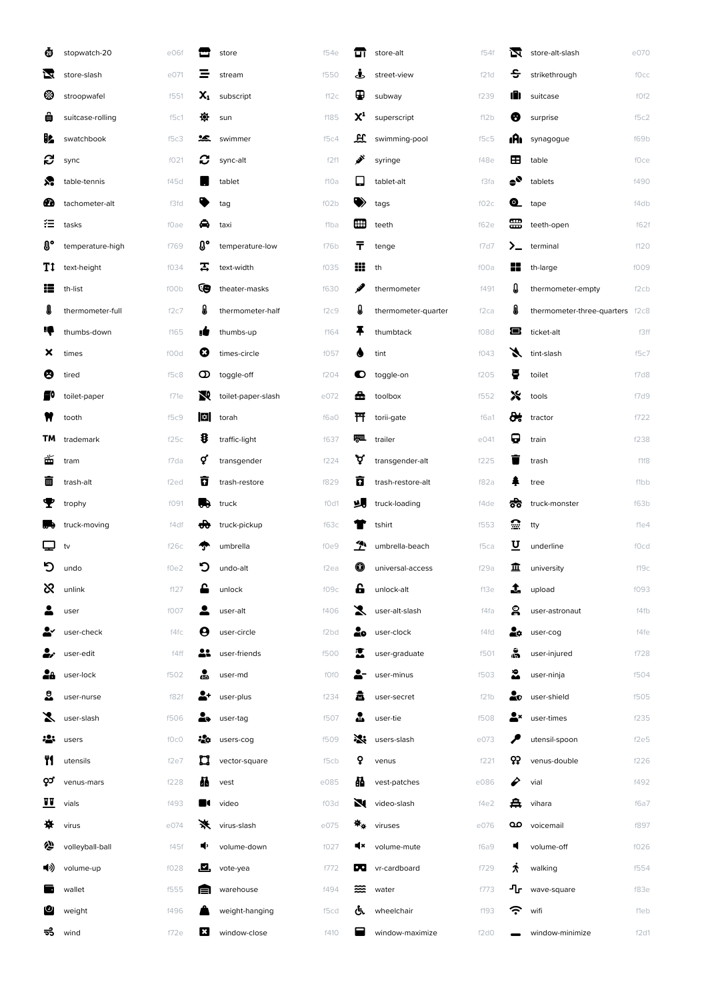| ❹           | stopwatch-20     | e06f              |      | store              | f54e              | ण               | store-alt           | f54f | 闪                 | store-alt-slash            | e070             |
|-------------|------------------|-------------------|------|--------------------|-------------------|-----------------|---------------------|------|-------------------|----------------------------|------------------|
| ⊻           | store-slash      | e071              |      | stream             | f550              | Å,              | street-view         | f21d | ÷                 | strikethrough              | fOcc             |
| ☺           | stroopwafel      | f551              | x,   | subscript          | f12c              | ⊕               | subway              | f239 | ıN                | suitcase                   | f0f2             |
| ê           | suitcase-rolling | f5c1              | 優    | sun                | f185              | $\mathsf{X}^1$  | superscript         | f12b | Ø                 | surprise                   | f5c2             |
| B.          | swatchbook       | f5c3              | ℅    | swimmer            | f5c4              | 표               | swimming-pool       | f5c5 | ıAı               | synagogue                  | f69b             |
| G           | sync             | f021              | C    | sync-alt           | f2f1              | پي              | syringe             | f48e | ⊞                 | table                      | fOce             |
| ℅           | table-tennis     | f45d              |      | tablet             | f10a              | ⊡               | tablet-alt          | f3fa | $\bullet^\bullet$ | tablets                    | f490             |
| ☎           | tachometer-alt   | f3fd              |      | tag                | f02b              |                 | tags                | fO2c | Q                 | tape                       | f4db             |
| 狂           | tasks            | f0ae              | ◒    | taxi               | f1ba              | H₩              | teeth               | f62e | ⊞                 | teeth-open                 | f62f             |
| $0^{\circ}$ | temperature-high | f769              | O°   | temperature-low    | f76b              | т               | tenge               | f7d7 | ≻_                | terminal                   | f120             |
| Τt          | text-height      | f034              | 丟    | text-width         | f035              | ₩               | th                  | f00a | 82                | th-large                   | f009             |
| æ           | th-list          | f00b              | (e   | theater-masks      | f630              | v               | thermometer         | f491 | IJ                | thermometer-empty          | f <sub>2cb</sub> |
| I           | thermometer-full | f2c7              | A    | thermometer-half   | f2c9              | Д               | thermometer-quarter | f2ca | A                 | thermometer-three-quarters | f2c8             |
| ĸ           | thumbs-down      | f165              | ۱Ō   | thumbs-up          | f164              | Ŧ               | thumbtack           | f08d | Е                 | ticket-alt                 | f3ff             |
| ×           | times            | f00d              | 0    | times-circle       | f057              |                 | tint                | f043 | X                 | tint-slash                 | f5c7             |
| ❸           | tired            | f5c8              | o    | toggle-off         | f204              | О               | toggle-on           | f205 | ÷                 | toilet                     | f7d8             |
| 圖0          | toilet-paper     | f71e              | N    | toilet-paper-slash | e072              | Δ               | toolbox             | f552 | Х                 | tools                      | f7d9             |
|             | tooth            | f5c9              | ∣ ≎∣ | torah              | f6a0              | 幵               | torii-gate          | f6a1 | ₩                 | tractor                    | f722             |
| ΤМ          | trademark        | f25c              | 8    | traffic-light      | f637              | 胍               | trailer             | e041 | 0                 | train                      | f238             |
| Ő           | tram             | f7da              | ợ    | transgender        | f224              | ড়              | transgender-alt     | f225 |                   | trash                      | f1f8             |
| ▥           | trash-alt        | f <sub>2</sub> ed | n    | trash-restore      | f829              | ធ               | trash-restore-alt   | f82a |                   | tree                       | f1bb             |
| Т           | trophy           | f091              | л.   | truck              | f0d1              | υ.              | truck-loading       | f4de | ಕೆಕಿ              | truck-monster              | f63b             |
| a۰          | truck-moving     | f4df              | d₩   | truck-pickup       | f63c              |                 | tshirt              | f553 | ≘                 | tty                        | f1e4             |
| ❏           | tv               | f26c              |      | umbrella           | f0e9              | $\mathcal{P}$   | umbrella-beach      | f5ca | U                 | underline                  | fOcd             |
| פ           | undo             | f0e2              | פ    | undo-alt           | f <sub>2ea</sub>  | ⊕               | universal-access    | f29a | 亚                 | university                 | f19c             |
| ಜ           | unlink           | f127              |      | unlock             | f09c              | £               | unlock-alt          | f13e | 1                 | upload                     | f093             |
|             | user             | f007              |      | user-alt           | f406              | Х               | user-alt-slash      | f4fa | ஜ                 | user-astronaut             | f4fb             |
|             | user-check       | f4fc              | Ө    | user-circle        | f <sub>2</sub> bd | å٥              | user-clock          | f4fd | ٤¢                | user-cog                   | f4fe             |
| ĕŕ          | user-edit        | f4ff              | 21   | user-friends       | f500              | М               | user-graduate       | f501 | å                 | user-injured               | f728             |
| 28          | user-lock        | f502              | ஃ    | user-md            | f0f0              |                 | user-minus          | f503 | ₷                 | user-ninja                 | f504             |
| ౖి          | user-nurse       | f82f              |      | user-plus          | f234              | 聶               | user-secret         | f21b | 2o                | user-shield                | f505             |
| 7           | user-slash       | f506              | ł.   | user-tag           | f507              | ♨               | user-tie            | f508 | Д×                | user-times                 | f235             |
| ÷÷          | users            | fOcO              | ֎o   | users-cog          | f509              | 没               | users-slash         | e073 |                   | utensil-spoon              | f2e5             |
| ٣ſ          | utensils         | f2e7              | u    | vector-square      | f5cb              | ò               | venus               | f221 | ဝှာ့              | venus-double               | f226             |
| ၀ု၁         | venus-mars       | f228              | Æ    | vest               | e085              | 晶               | vest-patches        | e086 | ₽                 | vial                       | f492             |
| 壨           | vials            | f493              |      | video              | f03d              | N.              | video-slash         | f4e2 | 疂                 | vihara                     | f6a7             |
| ₩           | virus            | e074              | ⋇    | virus-slash        | e075              | $\Psi_{\Delta}$ | viruses             | e076 | مه                | voicemail                  | f897             |
| ∕           | volleyball-ball  | f45f              | ∙    | volume-down        | f027              | щ×              | volume-mute         | f6a9 | Ц                 | volume-off                 | f026             |
| ◀ッ)         | volume-up        | f028              | .⊠.  | vote-yea           | f772              | <b>PART</b>     | vr-cardboard        | f729 | ℷ                 | walking                    | f554             |
| l d         | wallet           | f555              | E    | warehouse          | f494              | ≋               | water               | f773 | ┚┎                | wave-square                | f83e             |
| ဖ           | weight           | f496              |      | weight-hanging     | f5cd              | ড               | wheelchair          | f193 | <b>ごく</b>         | wifi                       | fleb             |
| ಕೆ          | wind             | f72e              | ×    | window-close       | f410              |                 | window-maximize     | f2d0 |                   | window-minimize            | f2d1             |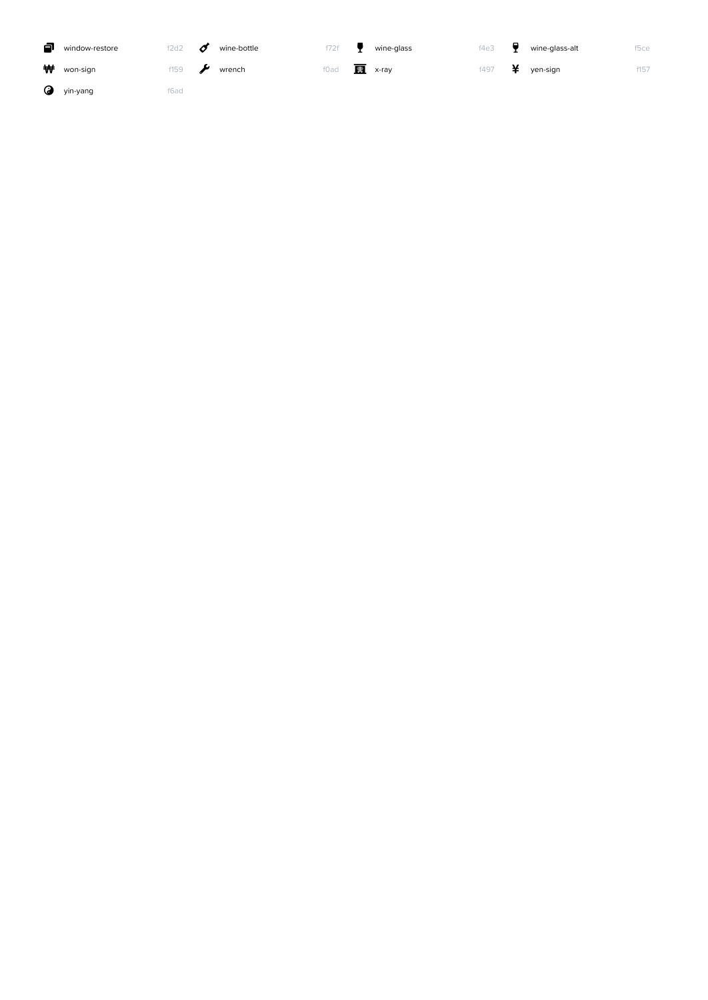| a | window-restore | 2d2  | Ø | wine-bottle | f72f |   | wine-glass | f4e3 |   | wine-glass-alt | f5ce |
|---|----------------|------|---|-------------|------|---|------------|------|---|----------------|------|
| ₩ | won-sign       | f159 |   | wrench      | f0ad | 螶 | x-ray      | f497 | ¥ | yen-sign       | f157 |
| ᢙ | yin-yang       | f6ad |   |             |      |   |            |      |   |                |      |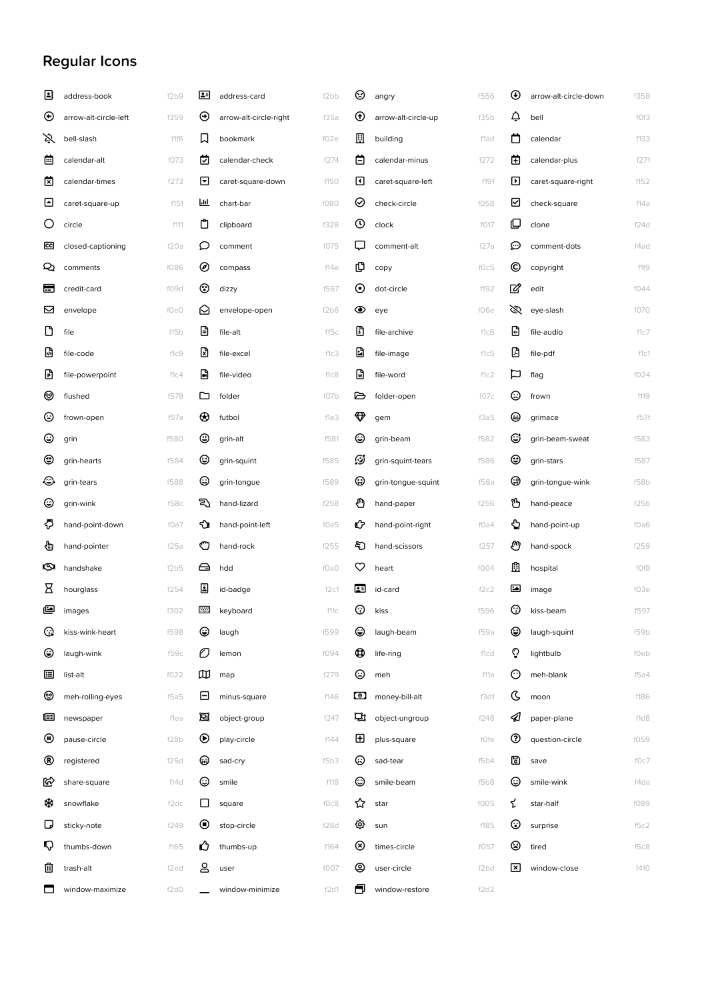## Regular Icons

| €   | address-book          | f2b9             | ख                    | address-card           | f2bb | ☺                             | angry               | f556              | $_{\oplus}$ | arrow-alt-circle-down | f358 |
|-----|-----------------------|------------------|----------------------|------------------------|------|-------------------------------|---------------------|-------------------|-------------|-----------------------|------|
| ⊕   | arrow-alt-circle-left | f359             | $_{\odot}$           | arrow-alt-circle-right | f35a | $^\circledR$                  | arrow-alt-circle-up | f35b              | ¢           | bell                  | f0f3 |
| 爻   | bell-slash            | f1f6             | 口                    | bookmark               | f02e | ⊡                             | building            | f1ad              | ่           | calendar              | f133 |
| ö   | calendar-alt          | f073             | 囪                    | calendar-check         | f274 | 白                             | calendar-minus      | f272              | 菌           | calendar-plus         | f271 |
| 囪   | calendar-times        | f273             | ⊡                    | caret-square-down      | f150 | ⊡                             | caret-square-left   | f191              | ⊡           | caret-square-right    | f152 |
| ⊡   | caret-square-up       | f151             | Ш                    | chart-bar              | f080 | ⊘                             | check-circle        | f058              | ☑           | check-square          | f14a |
| O   | circle                | f111             | Ů                    | clipboard              | f328 | $\odot$                       | clock               | f017              | ©           | clone                 | f24d |
| ccj | closed-captioning     | f20a             | ○                    | comment                | f075 | Q                             | comment-alt         | f27a              | ⊕           | comment-dots          | f4ad |
| Q   | comments              | f086             | ◉                    | compass                | f14e | மு                            | copy                | f0c5              | ©           | copyright             | f1f9 |
| ь   | credit-card           | f09d             | ⊛                    | dizzy                  | f567 | $\odot$                       | dot-circle          | f192              | ☑           | edit                  | f044 |
| ⊠   | envelope              | f0e0             | ✍                    | envelope-open          | f2b6 | ◉                             | eye                 | f06e              | Ø           | eye-slash             | f070 |
| ᠿ   | file                  | f15b             | Θ                    | file-alt               | f15c | D                             | file-archive        | f1c6              | O           | file-audio            | f1c7 |
| ₪   | file-code             | f1c9             | ₪                    | file-excel             | f1c3 | Ð                             | file-image          | f1c5              |             | file-pdf              | f1c1 |
| D   | file-powerpoint       | f1c4             | G                    | file-video             | f1c8 | ₪                             | file-word           | f1c2              | Þ           | flag                  | f024 |
| ☺   | flushed               | f579             | ▭                    | folder                 | f07b | ⊵                             | folder-open         | f07c              | ☺           | frown                 | f119 |
| ☺   | frown-open            | f57a             | ⊕                    | futbol                 | f1e3 | $\color{red}\bm\triangledown$ | gem                 | f3a5              | ⊜           | grimace               | f57f |
| ☺   | grin                  | f580             | ☺                    | grin-alt               | f581 | ☺                             | grin-beam           | f582              | C           | grin-beam-sweat       | f583 |
| ☺   | grin-hearts           | f584             | ☺                    | grin-squint            | f585 | తి                            | grin-squint-tears   | f586              | ☺           | grin-stars            | f587 |
| ⊛   | grin-tears            | f588             | ⊕                    | grin-tongue            | f589 | ☺                             | grin-tongue-squint  | f58a              | ⊛           | grin-tongue-wink      | f58b |
| ☺   | grin-wink             | f58c             | ఇ                    | hand-lizard            | f258 | ₾                             | hand-paper          | f256              | டு          | hand-peace            | f25b |
| €   | hand-point-down       | f0a7             | ∾                    | hand-point-left        | f0a5 | Ů                             | hand-point-right    | fOa4              | ⇘           | hand-point-up         | f0a6 |
| ⊕   | hand-pointer          | f25a             | O                    | hand-rock              | f255 | ච                             | hand-scissors       | f257              | ♨           | hand-spock            | f259 |
| Q.  | handshake             | f2b5             | ⊖                    | hdd                    | f0a0 | ♡                             | heart               | f004              | Ĥ           | hospital              | f0f8 |
| Β   | hourglass             | f254             | 圓                    | id-badge               | f2c1 | 囸                             | id-card             | f2c2              | ⊡           | image                 | f03e |
| అ   | images                | f302             |                      | keyboard               | f11c | ⊙                             | kiss                | f596              | ⊚           | kiss-beam             | f597 |
| ଊ   | kiss-wink-heart       | f598             | ٢                    | laugh                  | f599 | ۷                             | laugh-beam          | f59a              | ☺           | laugh-squint          | f59b |
| ☺   | laugh-wink            | f59c             | O                    | lemon                  | f094 | o                             | life-ring           | f1cd              | ୃ           | lightbulb             | f0eb |
| 逼   | list-alt              | f022             | œ                    | map                    | f279 | ☺                             | meh                 | f11a              | ⊙           | meh-blank             | f5a4 |
| ☺   | meh-rolling-eyes      | f5a5             | ⊟                    | minus-square           | f146 | ⊡                             | money-bill-alt      | f3d1              | ८           | moon                  | f186 |
| œ   | newspaper             | flea             | 回                    | object-group           | f247 | гη                            | object-ungroup      | f248              | ⊲           | paper-plane           | f1d8 |
| ⊕   | pause-circle          | f28b             | $^\circledR$         | play-circle            | f144 | ⊞                             | plus-square         | fOfe              | ⊛           | question-circle       | f059 |
| ®   | registered            | f25d             | ☜                    | sad-cry                | f5b3 | ☺                             | sad-tear            | f5b4              | 圖           | save                  | f0c7 |
| ຝ   | share-square          | f14d             | ☺                    | smile                  | f118 | ☺                             | smile-beam          | f5b8              | ☺           | smile-wink            | f4da |
| ∗   | snowflake             | f2dc             | ⊔                    | square                 | f0c8 | ☆                             | star                | f005              | ご           | star-half             | f089 |
| ◻   | sticky-note           | f249             | $_{\textstyle\odot}$ | stop-circle            | f28d | త                             | sun                 | f185              | ⊙           | surprise              | f5c2 |
| Q   | thumbs-down           | f165             | Ű                    | thumbs-up              | f164 | $\circledast$                 | times-circle        | f057              | ⊗           | tired                 | f5c8 |
| 勔   | trash-alt             | f <sub>2ed</sub> | &                    | user                   | f007 | ☺                             | user-circle         | f <sub>2</sub> bd | ⊠           | window-close          | f410 |
| ⊓   | window-maximize       | f2d0             |                      | window-minimize        | f2d1 | Ħ                             | window-restore      | f2d2              |             |                       |      |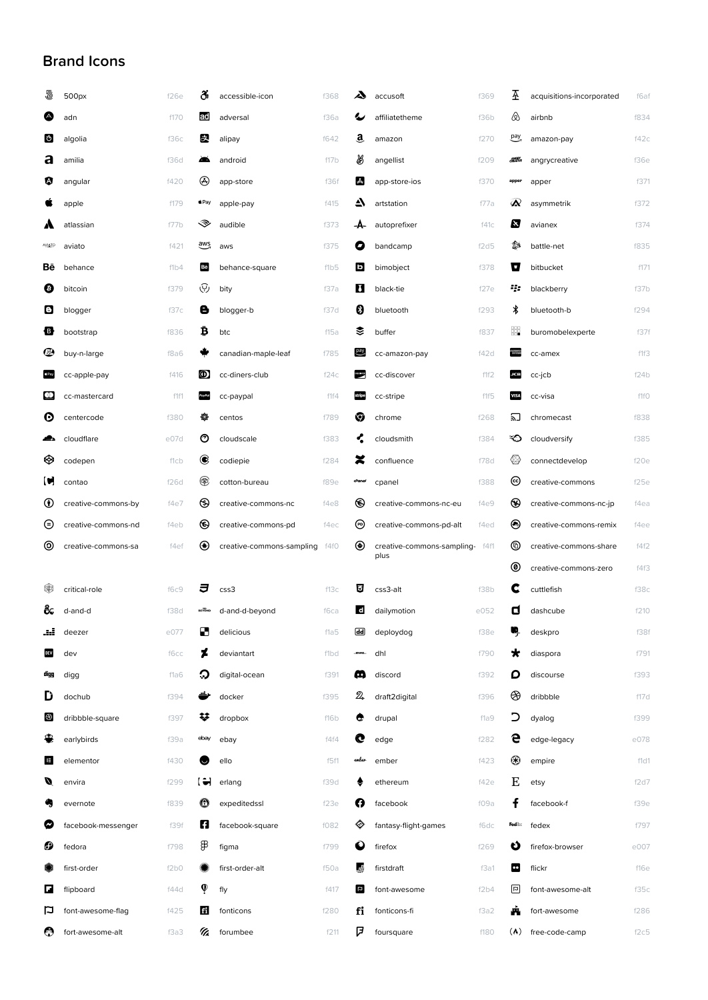## Brand Icons

| ð             | 500px               | f26e | õi               | accessible-icon           | f368 | A                                 | accusoft                        | f369 | Æ                       | acquisitions-incorporated | f6af |
|---------------|---------------------|------|------------------|---------------------------|------|-----------------------------------|---------------------------------|------|-------------------------|---------------------------|------|
| ❹             | adn                 | f170 | ad               | adversal                  | f36a | 少                                 | affiliatetheme                  | f36b |                         | airbnb                    | f834 |
| Ô             | algolia             | f36c | 晸                | alipay                    | f642 | a                                 | amazon                          | f270 | pay <sub>7</sub>        | amazon-pay                | f42c |
| а             | amilia              | f36d | ┻                | android                   | f17b | ₩                                 | angellist                       | f209 | <b>ANSK</b>             | angrycreative             | f36e |
| Ø             | angular             | f420 | ⊛                | app-store                 | f36f | A                                 | app-store-ios                   | f370 | apper                   | apper                     | f371 |
|               | apple               | f179 | $\triangle$ Pay  | apple-pay                 | f415 | ▲                                 | artstation                      | f77a | ☎                       | asymmetrik                | f372 |
| А             | atlassian           | f77b | ◈                | audible                   | f373 | -A-                               | autoprefixer                    | f41c | N                       | avianex                   | f374 |
| <b>AVIATO</b> | aviato              | f421 | $\overline{avg}$ | aws                       | f375 | O                                 | bandcamp                        | f2d5 | ₿                       | battle-net                | f835 |
| Вē            | behance             | f1b4 | Bē               | behance-square            | f1b5 | D                                 | bimobject                       | f378 | Ч                       | bitbucket                 | f171 |
| ◎             | bitcoin             | f379 | ্ত্য             | bity                      | f37a | И                                 | black-tie                       | f27e | 43                      | blackberry                | f37b |
| O             | blogger             | f37c | e                | blogger-b                 | f37d | 0                                 | bluetooth                       | f293 | ∦                       | bluetooth-b               | f294 |
| ₩             | bootstrap           | f836 | ₿                | btc                       | f15a | ₹                                 | buffer                          | f837 | ₩                       | buromobelexperte          | f37f |
| ☺             | buy-n-large         | f8a6 |                  | canadian-maple-leaf       | f785 | $_{\rm pay}$                      | cc-amazon-pay                   | f42d |                         | cc-amex                   | f1f3 |
| $\bullet$ Pay | cc-apple-pay        | f416 | ◍                | cc-diners-club            | f24c | <b>DOCUMB</b>                     | cc-discover                     | f1f2 | <b>JCB</b>              | cc-jcb                    | f24b |
| ഇ             | cc-mastercard       | f1f1 |                  | cc-paypal                 | f1f4 | stripe                            | cc-stripe                       | f1f5 | <b>VISA</b>             | cc-visa                   | f1fO |
| O             | centercode          | f380 | ₩                | centos                    | f789 | ♡                                 | chrome                          | f268 | 凹                       | chromecast                | f838 |
| ▰             | cloudflare          | e07d | O                | cloudscale                | f383 | ሩ                                 | cloudsmith                      | f384 | ం                       | cloudversify              | f385 |
| ⊗             | codepen             | f1cb | €                | codiepie                  | f284 | z                                 | confluence                      | f78d | ◈                       | connectdevelop            | f20e |
| C             | contao              | f26d | ⊛                | cotton-bureau             | f89e | cPanel                            | cpanel                          | f388 | ල                       | creative-commons          | f25e |
| ⊙             | creative-commons-by | f4e7 | ⊛                | creative-commons-nc       | f4e8 | ◉                                 | creative-commons-nc-eu          | f4e9 | ⊛                       | creative-commons-nc-jp    | f4ea |
| ⊝             | creative-commons-nd | f4eb | ◉                | creative-commons-pd       | f4ec | ℗                                 | creative-commons-pd-alt         | f4ed | ◉                       | creative-commons-remix    | f4ee |
| ⊚             | creative-commons-sa | f4ef | ◉                | creative-commons-sampling | f4f0 | ◉                                 | creative-commons-sampling- f4f1 |      | ◉                       | creative-commons-share    | f4f2 |
|               |                     |      |                  |                           |      |                                   | plus                            |      | ◉                       | creative-commons-zero     | f4f3 |
| ❀             | critical-role       | f6c9 | J                | $\csc 3$                  | f13c | 目                                 | css3-alt                        | f38b | C                       | cuttlefish                | f38c |
| &.            | d-and-d             | f38d | <b>BEYOND</b>    | d-and-d-beyond            | f6ca | <b>d</b>                          | dailymotion                     | e052 | о                       | dashcube                  | f210 |
| æ             | deezer              | e077 | Ø                | delicious                 | f1a5 | $\overline{\mathsf{d}\mathsf{d}}$ | deploydog                       | f38e | ų                       | deskpro                   | f38f |
| DEV           | dev                 | f6cc | 7                | deviantart                | f1bd | $-2000$                           | dhl                             | f790 | $\star$                 | diaspora                  | f791 |
| digg          | digg                | f1a6 | О                | digital-ocean             | f391 | ω                                 | discord                         | f392 | D                       | discourse                 | f393 |
| D             | dochub              | f394 | ىك               | docker                    | f395 | $\mathfrak{D}$                    | draft2digital                   | f396 | ⊛                       | dribbble                  | f17d |
| ⊛             | dribbble-square     | f397 | ₩                | dropbox                   | f16b | e                                 | drupal                          | f1a9 | כ                       | dyalog                    | f399 |
| 粵             | earlybirds          | f39a | ebay             | ebay                      | f4f4 | c                                 | edge                            | f282 | e                       | edge-legacy               | e078 |
| 国             | elementor           | f430 | (U               | ello                      | f5f1 | ember                             | ember                           | f423 | ⊛                       | empire                    | f1d1 |
| Ø             | envira              | f299 | I J              | erlang                    | f39d | ٠                                 | ethereum                        | f42e | E                       | etsy                      | f2d7 |
|               | evernote            | f839 | ⊕                | expeditedssl              | f23e | ø                                 | facebook                        | f09a |                         | facebook-f                | f39e |
| Ø             | facebook-messenger  | f39f | Н                | facebook-square           | f082 | ◈                                 | fantasy-flight-games            | f6dc | <b>Fed</b> <sup>2</sup> | fedex                     | f797 |
| ο             | fedora              | f798 | ₽                | figma                     | f799 | $\bf o$                           | firefox                         | f269 | O                       | firefox-browser           | e007 |
|               | first-order         | f2b0 |                  | first-order-alt           | f50a | 顕                                 | firstdraft                      | f3a1 | œ                       | flickr                    | f16e |
| G             | flipboard           | f44d | Ò                | fly                       | f417 | E                                 | font-awesome                    | f2b4 | $\vert$ la $\vert$      | font-awesome-alt          | f35c |
| p             | font-awesome-flag   | f425 | E1               | fonticons                 | f280 | fi                                | fonticons-fi                    | f3a2 | ш                       | fort-awesome              | f286 |
| ☜             | fort-awesome-alt    | f3a3 | H.               | forumbee                  | f211 | β                                 | foursquare                      | f180 | $(\lambda)$             | free-code-camp            | f2c5 |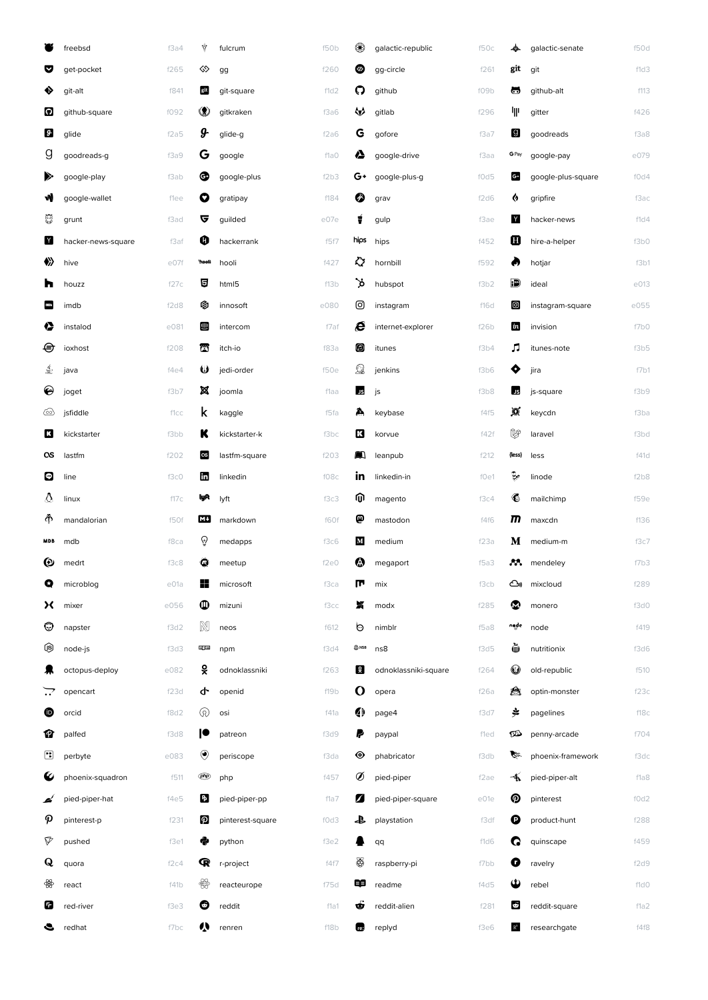|                       | freebsd            | f3a4 | ₩                   | fulcrum          | f50b | ❀           | galactic-republic    | f50c | չ                | galactic-senate    | f50d |
|-----------------------|--------------------|------|---------------------|------------------|------|-------------|----------------------|------|------------------|--------------------|------|
| v                     | get-pocket         | f265 | ♦                   | gg               | f260 | ◉           | gg-circle            | f261 | git              | git                | f1d3 |
| ◈                     | git-alt            | f841 | git                 | git-square       | f1d2 | ဂ           | github               | f09b | ా                | github-alt         | f113 |
| $\boldsymbol{\Omega}$ | github-square      | f092 | $\circledast$       | gitkraken        | f3a6 | ₩           | gitlab               | f296 | 业                | gitter             | f426 |
| $\boldsymbol{\theta}$ | glide              | f2a5 | д.                  | glide-g          | f2a6 | G           | gofore               | f3a7 | g                | goodreads          | f3a8 |
| g                     | goodreads-g        | f3a9 | G                   | google           | f1a0 | ◬           | google-drive         | f3aa | G Pay            | google-pay         | e079 |
| ➣                     | google-play        | f3ab | ⊕                   | google-plus      | f2b3 | G+          | google-plus-g        | f0d5 | C.               | google-plus-square | f0d4 |
| W                     | google-wallet      | flee | 0                   | gratipay         | f184 | ◎           | grav                 | f2d6 | ♦                | gripfire           | f3ac |
| 5                     | grunt              | f3ad | ভ                   | guilded          | e07e | ŧ           | gulp                 | f3ae | Y                | hacker-news        | f1d4 |
| Y                     | hacker-news-square | f3af | 0                   | hackerrank       | f5f7 | hips        | hips                 | f452 | Ø                | hire-a-helper      | f3b0 |
| ◈                     | hive               | e07f | <b>Hooli</b>        | hooli            | f427 | ♦           | hornbill             | f592 | Ø                | hotjar             | f3b1 |
| h                     | houzz              | f27c | 目                   | html5            | f13b | `ታ          | hubspot              | f3b2 | td)              | ideal              | e013 |
| INDb                  | imdb               | f2d8 | ◎                   | innosoft         | e080 | ම           | instagram            | f16d | ◙                | instagram-square   | e055 |
| ♦                     | instalod           | e081 | ⋓                   | intercom         | f7af | e           | internet-explorer    | f26b | $\boldsymbol{i}$ | invision           | f7b0 |
| ⊜                     | ioxhost            | f208 | 面                   | itch-io          | f83a | 0           | itunes               | f3b4 | л                | itunes-note        | f3b5 |
| €                     | java               | f4e4 | ω                   | jedi-order       | f50e | $\Omega$    | jenkins              | f3b6 | ♦                | jira               | f7b1 |
| €                     | joget              | f3b7 | ×                   | joomla           | flaa | <b>JS</b>   | js                   | f3b8 | US,              | js-square          | f3b9 |
| ∞                     | jsfiddle           | f1cc | k                   | kaggle           | f5fa | A           | keybase              | f4f5 | ø                | keycdn             | f3ba |
| В                     | kickstarter        | f3bb | ĸ                   | kickstarter-k    | f3bc | 囧           | korvue               | f42f | V                | laravel            | f3bd |
| αs                    | lastfm             | f202 | $\alpha$            | lastfm-square    | f203 | A)          | leanpub              | f212 | {less}           | less               | f41d |
| $\bullet$             | line               | f3c0 | Ë                   | linkedin         | f08c | in          | linkedin-in          | f0e1 | b                | linode             | f2b8 |
| ∆                     | linux              | f17c | lyR                 | lyft             | f3c3 | ⋒           | magento              | f3c4 | €                | mailchimp          | f59e |
| Ф                     | mandalorian        | f50f | мu                  | markdown         | f60f | ℗           | mastodon             | f4f6 | m                | maxcdn             | f136 |
| <b>MDB</b>            | mdb                | f8ca | $\overline{\Theta}$ | medapps          | f3c6 | $\mathbf M$ | medium               | f23a | M                | medium-m           | f3c7 |
| ⊕                     | medrt              | f3c8 | $\omega$            | meetup           | f2e0 | ❻           | megaport             | f5a3 | M.               | mendeley           | f7b3 |
| Q                     | microblog          | e01a | H                   | microsoft        | f3ca | m           | mix                  | f3cb |                  | ඌ mixcloud         | f289 |
| x                     | mixer              | e056 | $\mathbf  \Phi$     | mizuni           | f3cc | x           | modx                 | f285 | ☎                | monero             | f3d0 |
| ☺                     | napster            | f3d2 | $\mathbb N$         | neos             | f612 | ৩           | nimblr               | f5a8 | node             | node               | f419 |
| ⑲                     | node-js            | f3d3 | 目目                  | npm              | f3d4 | $@$ NSB     | ns8                  | f3d5 | è                | nutritionix        | f3d6 |
| 杲                     | octopus-deploy     | e082 | š                   | odnoklassniki    | f263 | <u>្ថុ</u>  | odnoklassniki-square | f264 | $\bf \mathbb{O}$ | old-republic       | f510 |
|                       | opencart           | f23d | ታ                   | openid           | f19b | $\mathbf O$ | opera                | f26a | £.               | optin-monster      | f23c |
| ❶                     | orcid              | f8d2 | $\odot$             | osi              | f41a | 4           | page4                | f3d7 | 声                | pagelines          | f18c |
| Ø                     | palfed             | f3d8 | ١O                  | patreon          | f3d9 | ₽           | paypal               | fled | ØD               | penny-arcade       | f704 |
| ⊡                     | perbyte            | e083 | $\odot$             | periscope        | f3da | ◉           | phabricator          | f3db | G.               | phoenix-framework  | f3dc |
| €                     | phoenix-squadron   | f511 | <b>(php)</b>        | php              | f457 | Ø           | pied-piper           | f2ae | 呱                | pied-piper-alt     | f1a8 |
| ď                     | pied-piper-hat     | f4e5 | B                   | pied-piper-pp    | f1a7 | Z           | pied-piper-square    | e01e | ℗                | pinterest          | f0d2 |
| P                     | pinterest-p        | f231 | Ø                   | pinterest-square | f0d3 | ₽           | playstation          | f3df | Θ                | product-hunt       | f288 |
| $\triangledown$       | pushed             | f3e1 | e                   | python           | f3e2 |             | qq                   | f1d6 | G                | quinscape          | f459 |
| Q                     | quora              | f2c4 | R                   | r-project        | f4f7 | ₩           | raspberry-pi         | f7bb | O                | ravelry            | f2d9 |
| ₩                     | react              | f41b | ₩                   | reacteurope      | f75d | 申           | readme               | f4d5 | Φ                | rebel              | f1d0 |
| Ø                     | red-river          | f3e3 | O                   | reddit           | f1a1 | Ġ           | reddit-alien         | f281 | Ġ                | reddit-square      | f1a2 |
| S                     | redhat             | f7bc | Ŵ                   | renren           | f18b | te:         | replyd               | f3e6 | $\mathbb{R}^6$   | researchgate       | f4f8 |
|                       |                    |      |                     |                  |      |             |                      |      |                  |                    |      |